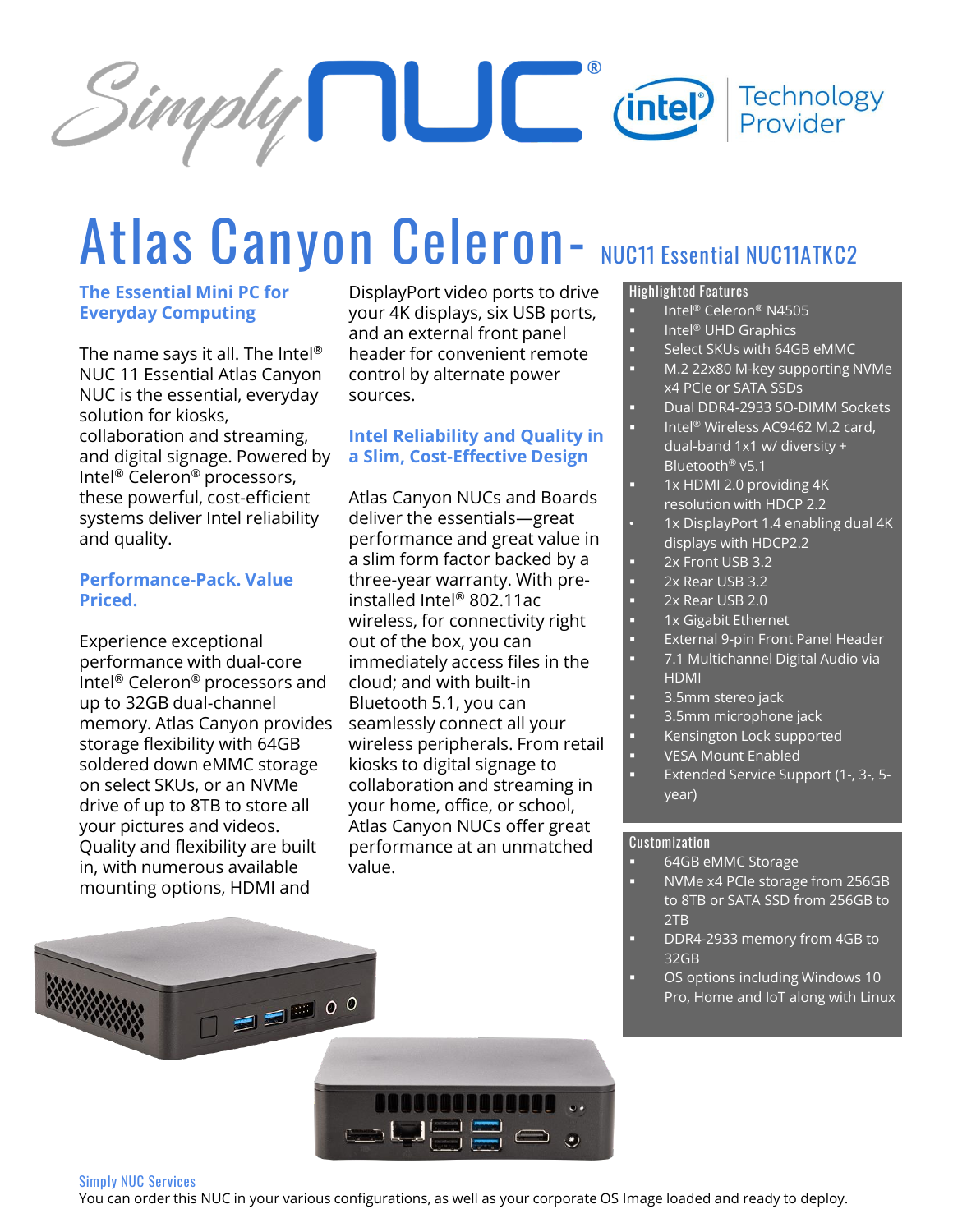

# Atlas Canyon Celeron- **NUC11 Essential NUC11ATKC2**

### **The Essential Mini PC for Everyday Computing**

The name says it all. The Intel® NUC 11 Essential Atlas Canyon NUC is the essential, everyday solution for kiosks, collaboration and streaming, and digital signage. Powered by Intel® Celeron® processors, these powerful, cost-efficient systems deliver Intel reliability and quality.

### **Performance-Pack. Value Priced.**

Experience exceptional performance with dual-core Intel® Celeron® processors and up to 32GB dual-channel memory. Atlas Canyon provides storage flexibility with 64GB soldered down eMMC storage on select SKUs, or an NVMe drive of up to 8TB to store all your pictures and videos. Quality and flexibility are built in, with numerous available mounting options, HDMI and

DisplayPort video ports to drive your 4K displays, six USB ports, and an external front panel header for convenient remote control by alternate power sources.

### **Intel Reliability and Quality in a Slim, Cost-Effective Design**

Atlas Canyon NUCs and Boards deliver the essentials—great performance and great value in a slim form factor backed by a three-year warranty. With preinstalled Intel® 802.11ac wireless, for connectivity right out of the box, you can immediately access files in the cloud; and with built-in Bluetooth 5.1, you can seamlessly connect all your wireless peripherals. From retail kiosks to digital signage to collaboration and streaming in your home, office, or school, Atlas Canyon NUCs offer great performance at an unmatched value.

### **Highlighted Features**

- Intel® Celeron® N4505
- Intel<sup>®</sup> UHD Graphics
- Select SKUs with 64GB eMMC
- M.2 22x80 M-key supporting NVMe x4 PCIe or SATA SSDs
- Dual DDR4-2933 SO-DIMM Sockets
- Intel<sup>®</sup> Wireless AC9462 M.2 card, dual-band 1x1 w/ diversity + Bluetooth® v5.1
- 1x HDMI 2.0 providing 4K resolution with HDCP 2.2
- 1x DisplayPort 1.4 enabling dual 4K displays with HDCP2.2
- 2x Front USB 3.2
- 2x Rear USB 3.2
- $2x$  Rear USB  $2.0$
- 1x Gigabit Ethernet
- External 9-pin Front Panel Header
- 7.1 Multichannel Digital Audio via HDMI
- 3.5mm stereo jack
- 3.5mm microphone jack
- Kensington Lock supported
- **VESA Mount Enabled**
- Extended Service Support (1-, 3-, 5year)

### **Customization**

- 64GB eMMC Storage
- NVMe x4 PCIe storage from 256GB to 8TB or SATA SSD from 256GB to 2TB
- DDR4-2933 memory from 4GB to 32GB
- OS options including Windows 10 Pro, Home and IoT along with Linux



#### **Simply NUC Services**

You can order this NUC in your various configurations, as well as your corporate OS Image loaded and ready to deploy.